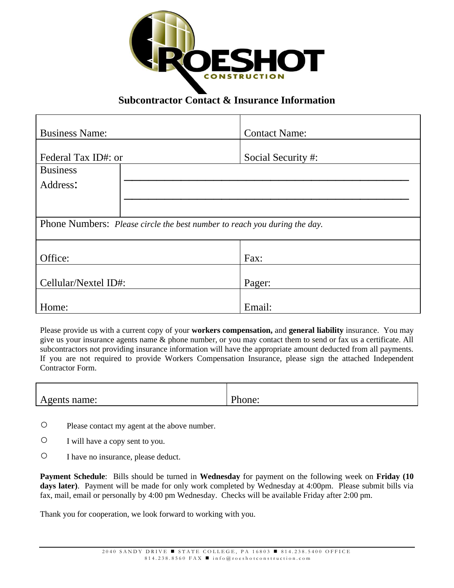

## **Subcontractor Contact & Insurance Information**

| <b>Business Name:</b>                                                     | <b>Contact Name:</b> |  |
|---------------------------------------------------------------------------|----------------------|--|
| Federal Tax ID#: or                                                       | Social Security #:   |  |
| <b>Business</b>                                                           |                      |  |
| Address:                                                                  |                      |  |
|                                                                           |                      |  |
| Phone Numbers: Please circle the best number to reach you during the day. |                      |  |
| Office:                                                                   | Fax:                 |  |
| Cellular/Nextel ID#:                                                      | Pager:               |  |
| Home:                                                                     | Email:               |  |

Please provide us with a current copy of your **workers compensation,** and **general liability** insurance. You may give us your insurance agents name & phone number, or you may contact them to send or fax us a certificate. All subcontractors not providing insurance information will have the appropriate amount deducted from all payments. If you are not required to provide Workers Compensation Insurance, please sign the attached Independent Contractor Form.

| name:<br>rgents<br>∸<br>. | $\mathbf{L}$<br>one: |
|---------------------------|----------------------|

- Please contact my agent at the above number.
- I will have a copy sent to you.
- I have no insurance, please deduct.

**Payment Schedule**: Bills should be turned in **Wednesday** for payment on the following week on **Friday (10**  days later). Payment will be made for only work completed by Wednesday at 4:00pm. Please submit bills via fax, mail, email or personally by 4:00 pm Wednesday. Checks will be available Friday after 2:00 pm.

Thank you for cooperation, we look forward to working with you.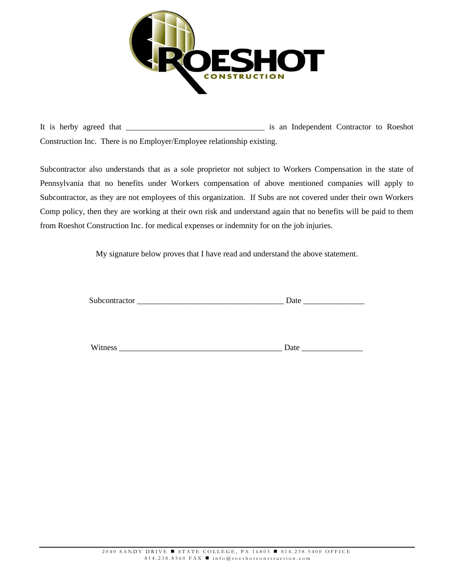

It is herby agreed that is an Independent Contractor to Roeshot Construction Inc. There is no Employer/Employee relationship existing.

Subcontractor also understands that as a sole proprietor not subject to Workers Compensation in the state of Pennsylvania that no benefits under Workers compensation of above mentioned companies will apply to Subcontractor, as they are not employees of this organization. If Subs are not covered under their own Workers Comp policy, then they are working at their own risk and understand again that no benefits will be paid to them from Roeshot Construction Inc. for medical expenses or indemnity for on the job injuries.

My signature below proves that I have read and understand the above statement.

| Subcontractor |  |
|---------------|--|
|---------------|--|

Witness **Example 2.2** Date  $\overline{a}$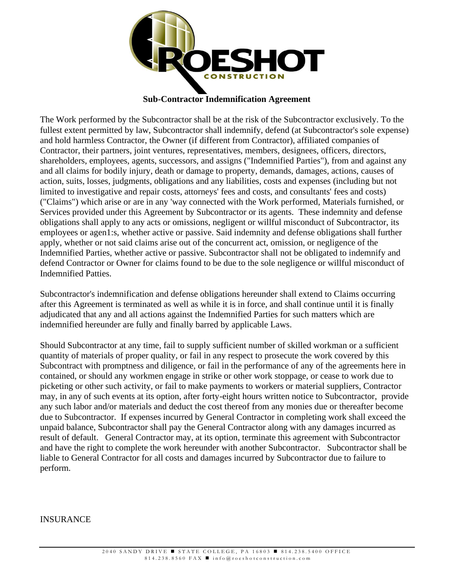

## **Sub-Contractor Indemnification Agreement**

The Work performed by the Subcontractor shall be at the risk of the Subcontractor exclusively. To the fullest extent permitted by law, Subcontractor shall indemnify, defend (at Subcontractor's sole expense) and hold harmless Contractor, the Owner (if different from Contractor), affiliated companies of Contractor, their partners, joint ventures, representatives, members, designees, officers, directors, shareholders, employees, agents, successors, and assigns ("Indemnified Parties"), from and against any and all claims for bodily injury, death or damage to property, demands, damages, actions, causes of action, suits, losses, judgments, obligations and any liabilities, costs and expenses (including but not limited to investigative and repair costs, attorneys' fees and costs, and consultants' fees and costs) ("Claims") which arise or are in any 'way connected with the Work performed, Materials furnished, or Services provided under this Agreement by Subcontractor or its agents. These indemnity and defense obligations shall apply to any acts or omissions, negligent or willful misconduct of Subcontractor, its employees or agen1:s, whether active or passive. Said indemnity and defense obligations shall further apply, whether or not said claims arise out of the concurrent act, omission, or negligence of the Indemnified Parties, whether active or passive. Subcontractor shall not be obligated to indemnify and defend Contractor or Owner for claims found to be due to the sole negligence or willful misconduct of Indemnified Patties.

Subcontractor's indemnification and defense obligations hereunder shall extend to Claims occurring after this Agreement is terminated as well as while it is in force, and shall continue until it is finally adjudicated that any and all actions against the Indemnified Parties for such matters which are indemnified hereunder are fully and finally barred by applicable Laws.

Should Subcontractor at any time, fail to supply sufficient number of skilled workman or a sufficient quantity of materials of proper quality, or fail in any respect to prosecute the work covered by this Subcontract with promptness and diligence, or fail in the performance of any of the agreements here in contained, or should any workmen engage in strike or other work stoppage, or cease to work due to picketing or other such activity, or fail to make payments to workers or material suppliers, Contractor may, in any of such events at its option, after forty-eight hours written notice to Subcontractor, provide any such labor and/or materials and deduct the cost thereof from any monies due or thereafter become due to Subcontractor. If expenses incurred by General Contractor in completing work shall exceed the unpaid balance, Subcontractor shall pay the General Contractor along with any damages incurred as result of default. General Contractor may, at its option, terminate this agreement with Subcontractor and have the right to complete the work hereunder with another Subcontractor. Subcontractor shall be liable to General Contractor for all costs and damages incurred by Subcontractor due to failure to perform.

## INSURANCE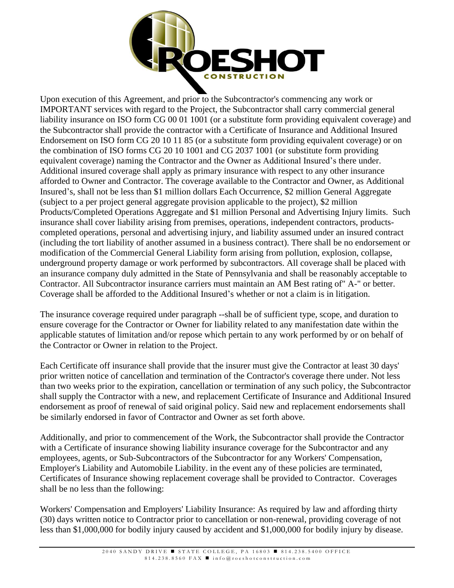

Upon execution of this Agreement, and prior to the Subcontractor's commencing any work or IMPORTANT services with regard to the Project, the Subcontractor shall carry commercial general liability insurance on ISO form CG 00 01 1001 (or a substitute form providing equivalent coverage) and the Subcontractor shall provide the contractor with a Certificate of Insurance and Additional Insured Endorsement on ISO form CG 20 10 11 85 (or a substitute form providing equivalent coverage) or on the combination of ISO forms CG 20 10 1001 and CG 2037 1001 (or substitute form providing equivalent coverage) naming the Contractor and the Owner as Additional Insured's there under. Additional insured coverage shall apply as primary insurance with respect to any other insurance afforded to Owner and Contractor. The coverage available to the Contractor and Owner, as Additional Insured's, shall not be less than \$1 million dollars Each Occurrence, \$2 million General Aggregate (subject to a per project general aggregate provision applicable to the project), \$2 million Products/Completed Operations Aggregate and \$1 million Personal and Advertising Injury limits. Such insurance shall cover liability arising from premises, operations, independent contractors, productscompleted operations, personal and advertising injury, and liability assumed under an insured contract (including the tort liability of another assumed in a business contract). There shall be no endorsement or modification of the Commercial General Liability form arising from pollution, explosion, collapse, underground property damage or work performed by subcontractors. All coverage shall be placed with an insurance company duly admitted in the State of Pennsylvania and shall be reasonably acceptable to Contractor. All Subcontractor insurance carriers must maintain an AM Best rating of" A-" or better. Coverage shall be afforded to the Additional Insured's whether or not a claim is in litigation.

The insurance coverage required under paragraph --shall be of sufficient type, scope, and duration to ensure coverage for the Contractor or Owner for liability related to any manifestation date within the applicable statutes of limitation and/or repose which pertain to any work performed by or on behalf of the Contractor or Owner in relation to the Project.

Each Certificate off insurance shall provide that the insurer must give the Contractor at least 30 days' prior written notice of cancellation and termination of the Contractor's coverage there under. Not less than two weeks prior to the expiration, cancellation or termination of any such policy, the Subcontractor shall supply the Contractor with a new, and replacement Certificate of Insurance and Additional Insured endorsement as proof of renewal of said original policy. Said new and replacement endorsements shall be similarly endorsed in favor of Contractor and Owner as set forth above.

Additionally, and prior to commencement of the Work, the Subcontractor shall provide the Contractor with a Certificate of insurance showing liability insurance coverage for the Subcontractor and any employees, agents, or Sub-Subcontractors of the Subcontractor for any Workers' Compensation, Employer's Liability and Automobile Liability. in the event any of these policies are terminated, Certificates of Insurance showing replacement coverage shall be provided to Contractor. Coverages shall be no less than the following:

Workers' Compensation and Employers' Liability Insurance: As required by law and affording thirty (30) days written notice to Contractor prior to cancellation or non-renewal, providing coverage of not less than \$1,000,000 for bodily injury caused by accident and \$1,000,000 for bodily injury by disease.